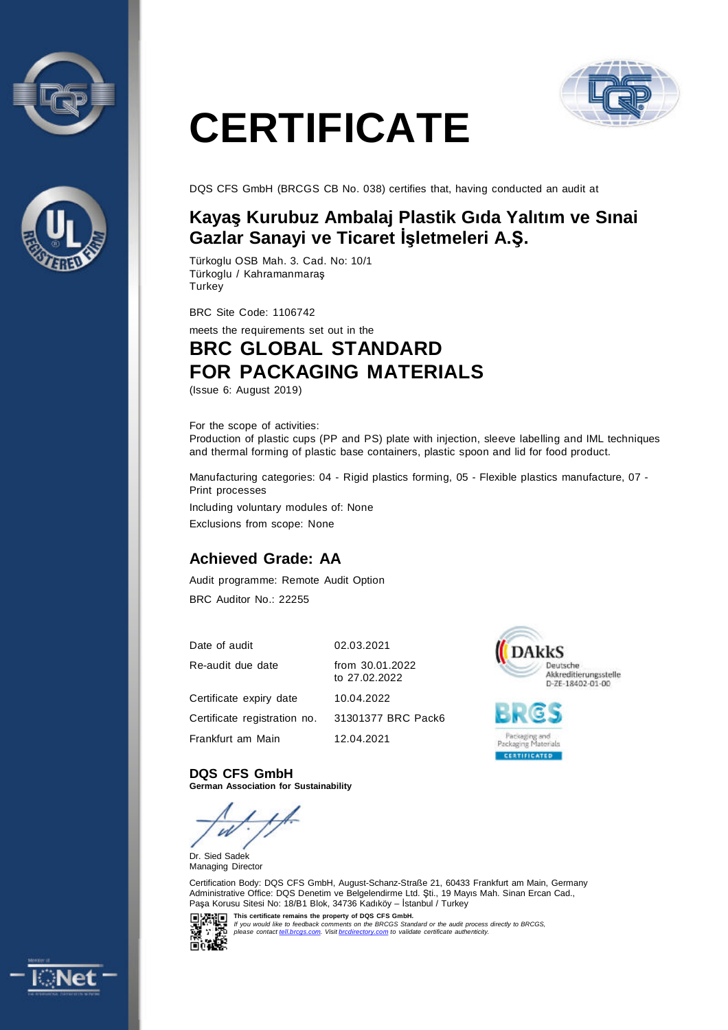



# **CERTIFICATE**



DQS CFS GmbH (BRCGS CB No. 038) certifies that, having conducted an audit at

#### **Kayaş Kurubuz Ambalaj Plastik Gıda Yalıtım ve Sınai Gazlar Sanayi ve Ticaret İşletmeleri A.Ş.**

Türkoglu OSB Mah. 3. Cad. No: 10/1 Türkoglu / Kahramanmaraş **Turkey** 

BRC Site Code: 1106742

meets the requirements set out in the

### **BRC GLOBAL STANDARD FOR PACKAGING MATERIALS**

(Issue 6: August 2019)

#### For the scope of activities:

Production of plastic cups (PP and PS) plate with injection, sleeve labelling and IML techniques and thermal forming of plastic base containers, plastic spoon and lid for food product.

Manufacturing categories: 04 - Rigid plastics forming, 05 - Flexible plastics manufacture, 07 - Print processes

Including voluntary modules of: None Exclusions from scope: None

#### **Achieved Grade: AA**

Audit programme: Remote Audit Option BRC Auditor No.: 22255

| Date of audit                | 02.03.2021                       |
|------------------------------|----------------------------------|
| Re-audit due date            | from 30.01.2022<br>to 27.02.2022 |
| Certificate expiry date      | 10.04.2022                       |
| Certificate registration no. | 31301377 BRC Pack6               |
| Frankfurt am Main            | 12.04.2021                       |





**DQS CFS GmbH German Association for Sustainability**

W

Dr. Sied Sadek Managing Director

Certification Body: DQS CFS GmbH, August-Schanz-Straße 21, 60433 Frankfurt am Main, Germany Administrative Office: DQS Denetim ve Belgelendirme Ltd. Şti., 19 Mayıs Mah. Sinan Ercan Cad., Paşa Korusu Sitesi No: 18/B1 Blok, 34736 Kadıköy – İstanbul / Turkey



This certificate remains the property of DQS CFS GmbH.<br>If you would like to feedback comments on the BRCGS Standard or the audit process directly to BRCGS,<br>please contact <u>tell brogs.com</u>. Visit <u>brodirectory.com</u> to valid

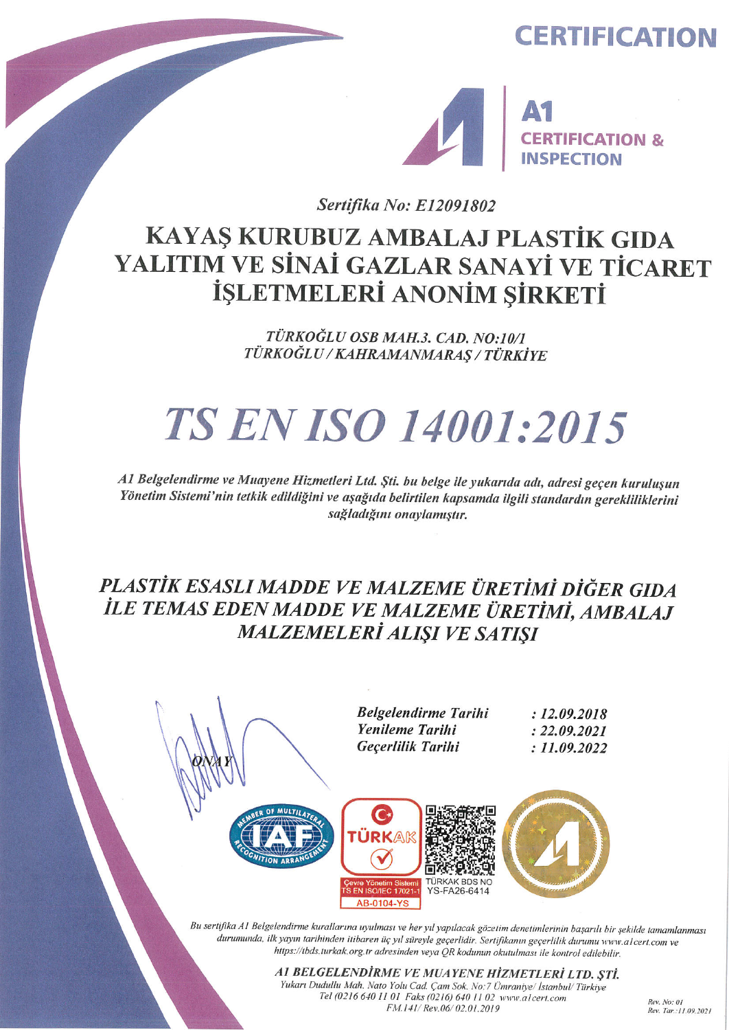## **CERTIFICATION**



Sertifika No: E12091802

# KAYAŞ KURUBUZ AMBALAJ PLASTİK GIDA YALITIM VE SİNAİ GAZLAR SANAYİ VE TİCARET İŞLETMELERİ ANONİM ŞİRKETİ

TÜRKOĞLU OSB MAH.3. CAD. NO:10/1 TÜRKOĞLU/KAHRAMANMARAŞ/TÜRKİYE

# **TS EN ISO 14001:2015**

A1 Belgelendirme ve Muayene Hizmetleri Ltd. Şti. bu belge ile yukarıda adı, adresi geçen kuruluşun Yönetim Sistemi'nin tetkik edildiğini ve aşağıda belirtilen kapsamda ilgili standardın gerekliliklerini sağladığını onaylamıştır.

### PLASTİK ESASLI MADDE VE MALZEME ÜRETİMİ DİĞER GIDA İLE TEMAS EDEN MADDE VE MALZEME ÜRETİMİ, AMBALAJ **MALZEMELERİ ALIŞI VE SATIŞI**



A1 BELGELENDİRME VE MUAYENE HİZMETLERİ LTD. ŞTİ. Yukarı Dudullu Mah. Nato Yolu Cad. Çam Sok. No:7 Ümraniye/İstanbul/Türkiye Tel (0216 640 11 01 Faks (0216) 640 11 02 www.alcert.com FM.141/ Rev.06/02.01.2019